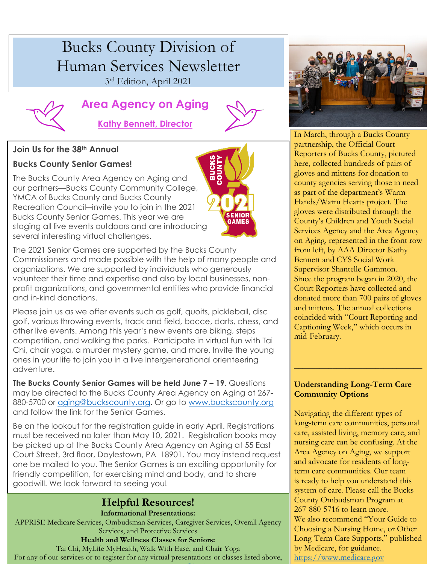# Bucks County Division of Human Services Newsletter 3rd Edition, April 2021



# **Area Agency on Aging**



**ENIOF GAMES** 

## **Kathy Bennett, Director**

### **Join Us for the 38th Annual**

## **Bucks County Senior Games!**

The Bucks County Area Agency on Aging and our partners—Bucks County Community College, YMCA of Bucks County and Bucks County Recreation Council―invite you to join in the 2021 Bucks County Senior Games. This year we are staging all live events outdoors and are introducing several interesting virtual challenges.



Please join us as we offer events such as golf, quoits, pickleball, disc golf, various throwing events, track and field, bocce, darts, chess, and other live events. Among this year's new events are biking, steps competition, and walking the parks. Participate in virtual fun with Tai Chi, chair yoga, a murder mystery game, and more. Invite the young ones in your life to join you in a live intergenerational orienteering adventure.

**The Bucks County Senior Games will be held June 7 – 19**. Questions may be directed to the Bucks County Area Agency on Aging at 267- 880-5700 or [aging@buckscounty.org.](mailto:aging@buckscounty.org) Or go to [www.buckscounty.org](http://www.buckscounty.org/) and follow the link for the Senior Games.

Be on the lookout for the registration guide in early April. Registrations must be received no later than May 10, 2021. Registration books may be picked up at the Bucks County Area Agency on Aging at 55 East Court Street, 3rd floor, Doylestown, PA 18901. You may instead request one be mailed to you. The Senior Games is an exciting opportunity for friendly competition, for exercising mind and body, and to share goodwill. We look forward to seeing you!

# **Helpful Resources!**

#### **Informational Presentations:**

APPRISE Medicare Services, Ombudsman Services, Caregiver Services, Overall Agency Services, and Protective Services

#### **Health and Wellness Classes for Seniors:**

Tai Chi, MyLife MyHealth, Walk With Ease, and Chair Yoga For any of our services or to register for any virtual presentations or classes listed above,



In March, through a Bucks County partnership, the Official Court Reporters of Bucks County, pictured here, collected hundreds of pairs of gloves and mittens for donation to county agencies serving those in need as part of the department's Warm Hands/Warm Hearts project. The gloves were distributed through the County's Children and Youth Social Services Agency and the Area Agency on Aging, represented in the front row from left, by AAA Director Kathy Bennett and CYS Social Work Supervisor Shantelle Gammon. Since the program began in 2020, the Court Reporters have collected and donated more than 700 pairs of gloves and mittens. The annual collections coincided with "Court Reporting and Captioning Week," which occurs in mid-February.

#### **Understanding Long-Term Care Community Options**

\_\_\_\_\_\_\_\_\_\_\_\_\_\_\_\_\_\_\_\_\_\_\_\_\_\_\_\_\_\_

Navigating the different types of long-term care communities, personal care, assisted living, memory care, and nursing care can be confusing. At the Area Agency on Aging, we support and advocate for residents of longterm care communities. Our team is ready to help you understand this system of care. Please call the Bucks County Ombudsman Program at 267-880-5716 to learn more. We also recommend "Your Guide to Choosing a Nursing Home, or Other Long-Term Care Supports," published by Medicare, for guidance. [https://www.medicare.gov](https://www.medicare.gov/)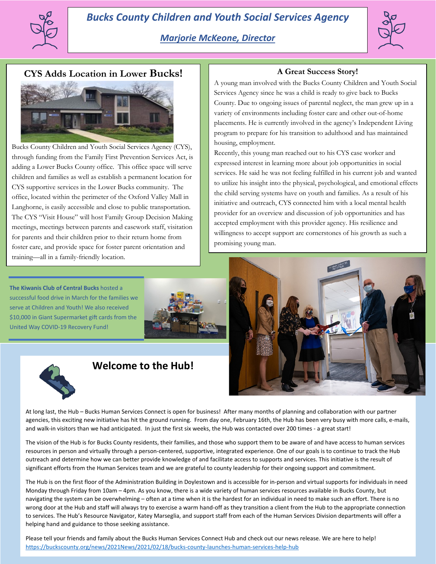



## **CYS Adds Location in Lower Bucks!**



Bucks County Children and Youth Social Services Agency (CYS), through funding from the Family First Prevention Services Act, is adding a Lower Bucks County office. This office space will serve children and families as well as establish a permanent location for CYS supportive services in the Lower Bucks community. The office, located within the perimeter of the Oxford Valley Mall in Langhorne, is easily accessible and close to public transportation. The CYS "Visit House" will host Family Group Decision Making meetings, meetings between parents and casework staff, visitation for parents and their children prior to their return home from foster care, and provide space for foster parent orientation and training—all in a family-friendly location.

**The Kiwanis Club of Central Bucks** hosted a successful food drive in March for the families we serve at Children and Youth! We also received \$10,000 in Giant Supermarket gift cards from the United Way COVID-19 Recovery Fund!



#### **A Great Success Story!**

A young man involved with the Bucks County Children and Youth Social Services Agency since he was a child is ready to give back to Bucks County. Due to ongoing issues of parental neglect, the man grew up in a variety of environments including foster care and other out-of-home placements. He is currently involved in the agency's Independent Living program to prepare for his transition to adulthood and has maintained housing, employment.

Recently, this young man reached out to his CYS case worker and expressed interest in learning more about job opportunities in social services. He said he was not feeling fulfilled in his current job and wanted to utilize his insight into the physical, psychological, and emotional effects the child serving systems have on youth and families. As a result of his initiative and outreach, CYS connected him with a local mental health provider for an overview and discussion of job opportunities and has accepted employment with this provider agency. His resilience and willingness to accept support are cornerstones of his growth as such a promising young man.





## **Welcome to the Hub!**

At long last, the Hub – Bucks Human Services Connect is open for business! After many months of planning and collaboration with our partner agencies, this exciting new initiative has hit the ground running. From day one, February 16th, the Hub has been very busy with more calls, e-mails, and walk-in visitors than we had anticipated. In just the first six weeks, the Hub was contacted over 200 times - a great start!

The vision of the Hub is for Bucks County residents, their families, and those who support them to be aware of and have access to human services resources in person and virtually through a person-centered, supportive, integrated experience. One of our goals is to continue to track the Hub outreach and determine how we can better provide knowledge of and facilitate access to supports and services. This initiative is the result of significant efforts from the Human Services team and we are grateful to county leadership for their ongoing support and commitment.

The Hub is on the first floor of the Administration Building in Doylestown and is accessible for in-person and virtual supports for individuals in need Monday through Friday from 10am – 4pm. As you know, there is a wide variety of human services resources available in Bucks County, but navigating the system can be overwhelming – often at a time when it is the hardest for an individual in need to make such an effort. There is no wrong door at the Hub and staff will always try to exercise a warm hand-off as they transition a client from the Hub to the appropriate connection to services. The Hub's Resource Navigator, Katey Marseglia, and support staff from each of the Human Services Division departments will offer a helping hand and guidance to those seeking assistance.

Please tell your friends and family about the Bucks Human Services Connect Hub and check out our news release. We are here to help! <https://buckscounty.org/news/2021News/2021/02/18/bucks-county-launches-human-services-help-hub>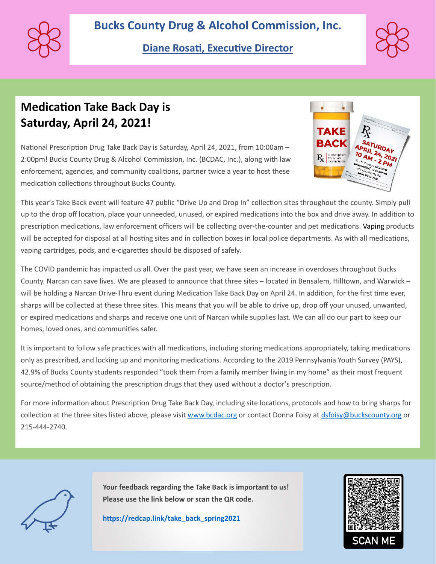

# **Diane Rosati, Executive Director**



# **Medication Take Back Day is Saturday, April 24, 2021!**

National Prescription Drug Take Back Day is Saturday, April 24, 2021, from 10:00am -2:00pm! Bucks County Drug & Alcohol Commission, Inc. (BCDAC, Inc.), along with law enforcement, agencies, and community coalitions, partner twice a year to host these medication collections throughout Bucks County.



This year's Take Back event will feature 47 public "Drive Up and Drop In" collection sites throughout the county. Simply pull up to the drop off location, place your unneeded, unused, or expired medications into the box and drive away. In addition to prescription medications, law enforcement officers will be collecting over-the-counter and pet medications. Vaping products will be accepted for disposal at all hosting sites and in collection boxes in local police departments. As with all medications, vaping cartridges, pods, and e-cigarettes should be disposed of safely.

The COVID pandemic has impacted us all. Over the past year, we have seen an increase in overdoses throughout Bucks County. Narcan can save lives. We are pleased to announce that three sites – located in Bensalem, Hilltown, and Warwick – will be holding a Narcan Drive-Thru event during Medication Take Back Day on April 24. In addition, for the first time ever, sharps will be collected at these three sites. This means that you will be able to drive up, drop off your unused, unwanted, or expired medications and sharps and receive one unit of Narcan while supplies last. We can all do our part to keep our homes, loved ones, and communities safer.

It is important to follow safe practices with all medications, including storing medications appropriately, taking medications only as prescribed, and locking up and monitoring medications. According to the 2019 Pennsylvania Youth Survey (PAYS), 42.9% of Bucks County students responded "took them from a family member living in my home" as their most frequent source/method of obtaining the prescription drugs that they used without a doctor's prescription.

For more information about Prescription Drug Take Back Day, including site locations, protocols and how to bring sharps for collection at the three sites listed above, please visi[t www.bcdac.org](https://gcc02.safelinks.protection.outlook.com/?url=http%3A%2F%2Fwww.bcdac.org%2F&data=04%7C01%7Cmperrotti%40buckscounty.org%7C1792fd2255654da1aff508d8e57edcca%7C84e2e871e7fc4b00a387ce8840a4e58d%7C0%7C0%7C637511680327440070%7CUnknown%7CTWFpbGZsb3d8eyJWIjoiMC4wLjAwMDAiLCJQIjoiV2luMzIiLCJBTiI6Ik1haWwiLCJXVCI6Mn0%3D%7C1000&sdata=9Fu7YYVQjqyvZVw6t4snB8Tf9IJo%2FvDwUTyEPM9X8N0%3D&reserved=0) or contact Donna Foisy at [dsfoisy@buckscounty.org](mailto:dsfoisy@buckscounty.org) or 215-444-2740.

**Your feedback regarding the Take Back is important to us! Please use the link below or scan the QR code.** 

**[htps://redcap.link/take\\_back\\_spring2021](https://gcc02.safelinks.protection.outlook.com/?url=https%3A%2F%2Fredcap.link%2Ftake_back_spring2021&data=04%7C01%7Cstkirby%40buckscounty.org%7Cb278def7a4bd41e45f9308d8f069930c%7C84e2e871e7fc4b00a387ce8840a4e58d%7C0%7C0%7C637523683575009458%7CUnknown%7CTWFpbGZsb3d8eyJWIjoiMC4wLjAwMDAiLCJQIjoiV2luMzIiLCJBTiI6Ik1haWwiLCJXVCI6Mn0%3D%7C1000&sdata=rQ7A7vkfx9cw%2FvTsAe8tDyWdnhS6uIlGGHG3InkNPg4%3D&reserved=0)**